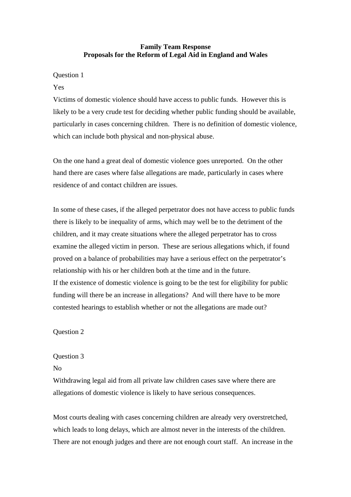# **Family Team Response Proposals for the Reform of Legal Aid in England and Wales**

## Question 1

## Yes

Victims of domestic violence should have access to public funds. However this is likely to be a very crude test for deciding whether public funding should be available, particularly in cases concerning children. There is no definition of domestic violence, which can include both physical and non-physical abuse.

On the one hand a great deal of domestic violence goes unreported. On the other hand there are cases where false allegations are made, particularly in cases where residence of and contact children are issues.

In some of these cases, if the alleged perpetrator does not have access to public funds there is likely to be inequality of arms, which may well be to the detriment of the children, and it may create situations where the alleged perpetrator has to cross examine the alleged victim in person. These are serious allegations which, if found proved on a balance of probabilities may have a serious effect on the perpetrator's relationship with his or her children both at the time and in the future. If the existence of domestic violence is going to be the test for eligibility for public funding will there be an increase in allegations? And will there have to be more contested hearings to establish whether or not the allegations are made out?

Question 2

# Question 3

#### No

Withdrawing legal aid from all private law children cases save where there are allegations of domestic violence is likely to have serious consequences.

Most courts dealing with cases concerning children are already very overstretched, which leads to long delays, which are almost never in the interests of the children. There are not enough judges and there are not enough court staff. An increase in the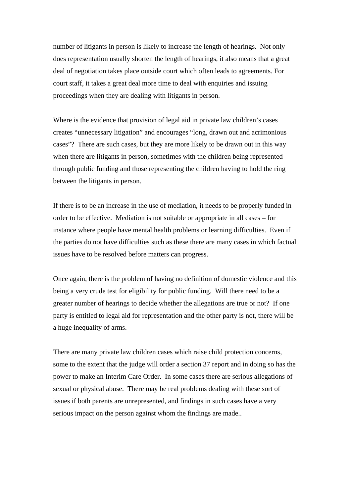number of litigants in person is likely to increase the length of hearings. Not only does representation usually shorten the length of hearings, it also means that a great deal of negotiation takes place outside court which often leads to agreements. For court staff, it takes a great deal more time to deal with enquiries and issuing proceedings when they are dealing with litigants in person.

Where is the evidence that provision of legal aid in private law children's cases creates "unnecessary litigation" and encourages "long, drawn out and acrimonious cases"? There are such cases, but they are more likely to be drawn out in this way when there are litigants in person, sometimes with the children being represented through public funding and those representing the children having to hold the ring between the litigants in person.

If there is to be an increase in the use of mediation, it needs to be properly funded in order to be effective. Mediation is not suitable or appropriate in all cases – for instance where people have mental health problems or learning difficulties. Even if the parties do not have difficulties such as these there are many cases in which factual issues have to be resolved before matters can progress.

Once again, there is the problem of having no definition of domestic violence and this being a very crude test for eligibility for public funding. Will there need to be a greater number of hearings to decide whether the allegations are true or not? If one party is entitled to legal aid for representation and the other party is not, there will be a huge inequality of arms.

There are many private law children cases which raise child protection concerns, some to the extent that the judge will order a section 37 report and in doing so has the power to make an Interim Care Order. In some cases there are serious allegations of sexual or physical abuse. There may be real problems dealing with these sort of issues if both parents are unrepresented, and findings in such cases have a very serious impact on the person against whom the findings are made..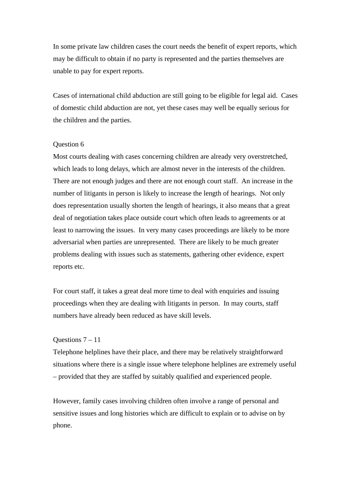In some private law children cases the court needs the benefit of expert reports, which may be difficult to obtain if no party is represented and the parties themselves are unable to pay for expert reports.

Cases of international child abduction are still going to be eligible for legal aid. Cases of domestic child abduction are not, yet these cases may well be equally serious for the children and the parties.

### Question 6

Most courts dealing with cases concerning children are already very overstretched, which leads to long delays, which are almost never in the interests of the children. There are not enough judges and there are not enough court staff. An increase in the number of litigants in person is likely to increase the length of hearings. Not only does representation usually shorten the length of hearings, it also means that a great deal of negotiation takes place outside court which often leads to agreements or at least to narrowing the issues. In very many cases proceedings are likely to be more adversarial when parties are unrepresented. There are likely to be much greater problems dealing with issues such as statements, gathering other evidence, expert reports etc.

For court staff, it takes a great deal more time to deal with enquiries and issuing proceedings when they are dealing with litigants in person. In may courts, staff numbers have already been reduced as have skill levels.

## Ouestions  $7 - 11$

Telephone helplines have their place, and there may be relatively straightforward situations where there is a single issue where telephone helplines are extremely useful – provided that they are staffed by suitably qualified and experienced people.

However, family cases involving children often involve a range of personal and sensitive issues and long histories which are difficult to explain or to advise on by phone.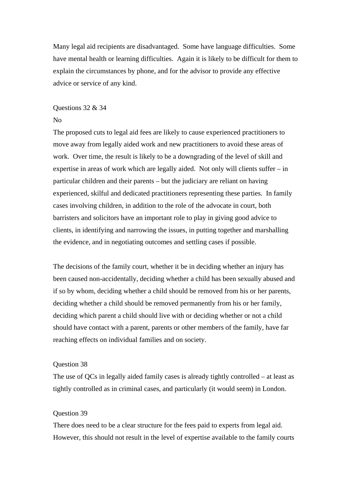Many legal aid recipients are disadvantaged. Some have language difficulties. Some have mental health or learning difficulties. Again it is likely to be difficult for them to explain the circumstances by phone, and for the advisor to provide any effective advice or service of any kind.

#### Questions 32 & 34

#### No

The proposed cuts to legal aid fees are likely to cause experienced practitioners to move away from legally aided work and new practitioners to avoid these areas of work. Over time, the result is likely to be a downgrading of the level of skill and expertise in areas of work which are legally aided. Not only will clients suffer – in particular children and their parents – but the judiciary are reliant on having experienced, skilful and dedicated practitioners representing these parties. In family cases involving children, in addition to the role of the advocate in court, both barristers and solicitors have an important role to play in giving good advice to clients, in identifying and narrowing the issues, in putting together and marshalling the evidence, and in negotiating outcomes and settling cases if possible.

The decisions of the family court, whether it be in deciding whether an injury has been caused non-accidentally, deciding whether a child has been sexually abused and if so by whom, deciding whether a child should be removed from his or her parents, deciding whether a child should be removed permanently from his or her family, deciding which parent a child should live with or deciding whether or not a child should have contact with a parent, parents or other members of the family, have far reaching effects on individual families and on society.

#### Question 38

The use of QCs in legally aided family cases is already tightly controlled – at least as tightly controlled as in criminal cases, and particularly (it would seem) in London.

#### Question 39

There does need to be a clear structure for the fees paid to experts from legal aid. However, this should not result in the level of expertise available to the family courts